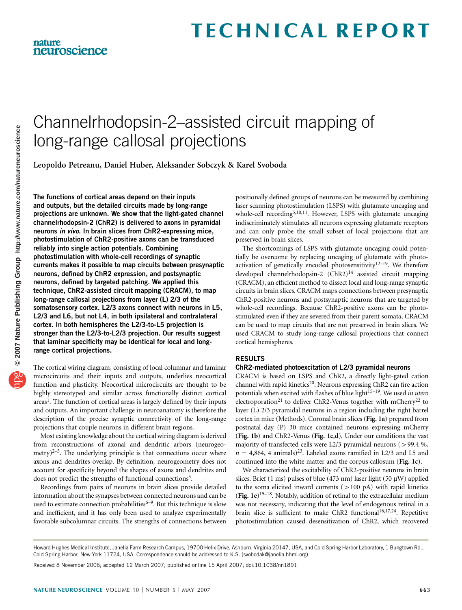## Channelrhodopsin-2–assisted circuit mapping of long-range callosal projections

Leopoldo Petreanu, Daniel Huber, Aleksander Sobczyk & Karel Svoboda

The functions of cortical areas depend on their inputs and outputs, but the detailed circuits made by long-range projections are unknown. We show that the light-gated channel channelrhodopsin-2 (ChR2) is delivered to axons in pyramidal neurons in vivo. In brain slices from ChR2-expressing mice, photostimulation of ChR2-positive axons can be transduced reliably into single action potentials. Combining photostimulation with whole-cell recordings of synaptic currents makes it possible to map circuits between presynaptic neurons, defined by ChR2 expression, and postsynaptic neurons, defined by targeted patching. We applied this technique, ChR2-assisted circuit mapping (CRACM), to map long-range callosal projections from layer (L) 2/3 of the somatosensory cortex. L2/3 axons connect with neurons in L5, L2/3 and L6, but not L4, in both ipsilateral and contralateral cortex. In both hemispheres the L2/3-to-L5 projection is stronger than the L2/3-to-L2/3 projection. Our results suggest that laminar specificity may be identical for local and longrange cortical projections.

The cortical wiring diagram, consisting of local columnar and laminar microcircuits and their inputs and outputs, underlies neocortical function and plasticity. Neocortical microcircuits are thought to be highly stereotyped and similar across functionally distinct cortical areas<sup>1</sup>. The function of cortical areas is largely defined by their inputs and outputs. An important challenge in neuroanatomy is therefore the description of the precise synaptic connectivity of the long-range projections that couple neurons in different brain regions.

Most existing knowledge about the cortical wiring diagram is derived from reconstructions of axonal and dendritic arbors (neurogeometry) $2-5$ . The underlying principle is that connections occur where axons and dendrites overlap. By definition, neurogeometry does not account for specificity beyond the shapes of axons and dendrites and does not predict the strengths of functional connections<sup>5</sup>.

Recordings from pairs of neurons in brain slices provide detailed information about the synapses between connected neurons and can be used to estimate connection probabilities<sup>6-9</sup>. But this technique is slow and inefficient, and it has only been used to analyze experimentally favorable subcolumnar circuits. The strengths of connections between

positionally defined groups of neurons can be measured by combining laser scanning photostimulation (LSPS) with glutamate uncaging and whole-cell recording<sup>5,10,11</sup>. However, LSPS with glutamate uncaging indiscriminately stimulates all neurons expressing glutamate receptors and can only probe the small subset of local projections that are preserved in brain slices.

The shortcomings of LSPS with glutamate uncaging could potentially be overcome by replacing uncaging of glutamate with photoactivation of genetically encoded photosensitivity<sup>12-19</sup>. We therefore developed channelrhodopsin-2 (ChR2)<sup>14</sup> assisted circuit mapping (CRACM), an efficient method to dissect local and long-range synaptic circuits in brain slices. CRACM maps connections between presynaptic ChR2-positive neurons and postsynaptic neurons that are targeted by whole-cell recordings. Because ChR2-positive axons can be photostimulated even if they are severed from their parent somata, CRACM can be used to map circuits that are not preserved in brain slices. We used CRACM to study long-range callosal projections that connect cortical hemispheres.

### RESULTS

#### ChR2-mediated photoexcitation of L2/3 pyramidal neurons

CRACM is based on LSPS and ChR2, a directly light-gated cation channel with rapid kinetics<sup>20</sup>. Neurons expressing ChR2 can fire action potentials when excited with flashes of blue light<sup>15-19</sup>. We used in utero electroporation<sup>21</sup> to deliver ChR2-Venus together with mCherry<sup>22</sup> to layer (L) 2/3 pyramidal neurons in a region including the right barrel cortex in mice (Methods). Coronal brain slices (Fig. 1a) prepared from postnatal day (P) 30 mice contained neurons expressing mCherry (Fig. 1b) and ChR2-Venus (Fig. 1c,d). Under our conditions the vast majority of transfected cells were L2/3 pyramidal neurons  $(>99.4 \%)$ ,  $n = 4,864$ , 4 animals)<sup>23</sup>. Labeled axons ramified in L2/3 and L5 and continued into the white matter and the corpus callosum (Fig. 1c).

We characterized the excitability of ChR2-positive neurons in brain slices. Brief (1 ms) pulses of blue (473 nm) laser light (50  $\mu$ W) applied to the soma elicited inward currents  $(>100 \text{ pA})$  with rapid kinetics (Fig. 1e)<sup>15–18</sup>. Notably, addition of retinal to the extracellular medium was not necessary, indicating that the level of endogenous retinal in a brain slice is sufficient to make ChR2 functional<sup>16,17,24</sup>. Repetitive photostimulation caused desensitization of ChR2, which recovered

Received 8 November 2006; accepted 12 March 2007; published online 15 April 2007; doi:10.1038/nn1891

Howard Hughes Medical Institute, Janelia Farm Research Campus, 19700 Helix Drive, Ashburn, Virginia 20147, USA, and Cold Spring Harbor Laboratory, 1 Bungtown Rd., Cold Spring Harbor, New York 11724, USA. Correspondence should be addressed to K.S. (svobodak@janelia.hhmi.org).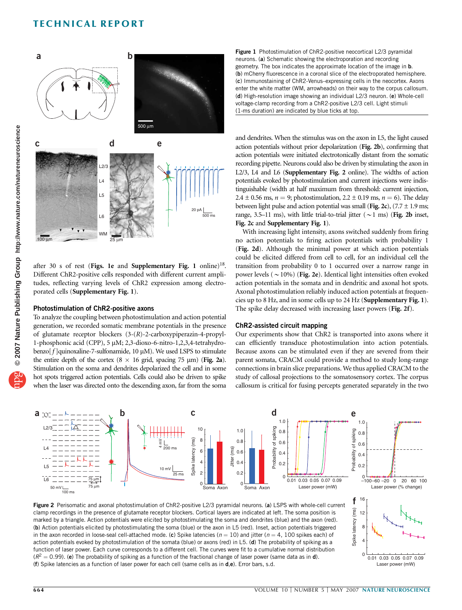

after 30 s of rest (Figs. 1e and Supplementary Fig. 1 online)<sup>18</sup>. Different ChR2-positive cells responded with different current amplitudes, reflecting varying levels of ChR2 expression among electroporated cells (Supplementary Fig. 1).

#### Photostimulation of ChR2-positive axons

To analyze the coupling between photostimulation and action potential generation, we recorded somatic membrane potentials in the presence of glutamate receptor blockers (3-(R)-2-carboxypiperazin-4-propyl-1-phosphonic acid (CPP), 5 µM; 2,3-dioxo-6-nitro-1,2,3,4-tetrahydrobenzo $[f]$ quinoxaline-7-sulfonamide, 10  $\mu$ M). We used LSPS to stimulate the entire depth of the cortex ( $8 \times 16$  grid, spacing 75 µm) (Fig. 2a). Stimulation on the soma and dendrites depolarized the cell and in some hot spots triggered action potentials. Cells could also be driven to spike when the laser was directed onto the descending axon, far from the soma



and dendrites. When the stimulus was on the axon in L5, the light caused action potentials without prior depolarization (Fig. 2b), confirming that action potentials were initiated electrotonically distant from the somatic recording pipette. Neurons could also be driven by stimulating the axon in L2/3, L4 and L6 (Supplementary Fig. 2 online). The widths of action potentials evoked by photostimulation and current injections were indistinguishable (width at half maximum from threshold: current injection, 2.4  $\pm$  0.56 ms,  $n = 9$ ; photostimulation, 2.2  $\pm$  0.19 ms,  $n = 6$ ). The delay between light pulse and action potential was small (Fig. 2c),  $(7.7 \pm 1.9 \text{ ms})$ ; range, 3.5–11 ms), with little trial-to-trial jitter ( $\sim$ 1 ms) (Fig. 2b inset, Fig. 2c and Supplementary Fig. 1).

With increasing light intensity, axons switched suddenly from firing no action potentials to firing action potentials with probability 1 (Fig. 2d). Although the minimal power at which action potentials could be elicited differed from cell to cell, for an individual cell the transition from probability 0 to 1 occurred over a narrow range in power levels ( $\sim$  10%) (Fig. 2e). Identical light intensities often evoked action potentials in the somata and in dendritic and axonal hot spots. Axonal photostimulation reliably induced action potentials at frequencies up to 8 Hz, and in some cells up to 24 Hz (Supplementary Fig. 1). The spike delay decreased with increasing laser powers (Fig. 2f).

#### ChR2-assisted circuit mapping

Our experiments show that ChR2 is transported into axons where it can efficiently transduce photostimulation into action potentials. Because axons can be stimulated even if they are severed from their parent somata, CRACM could provide a method to study long-range connections in brain slice preparations. We thus applied CRACM to the study of callosal projections to the somatosensory cortex. The corpus callosum is critical for fusing percepts generated separately in the two





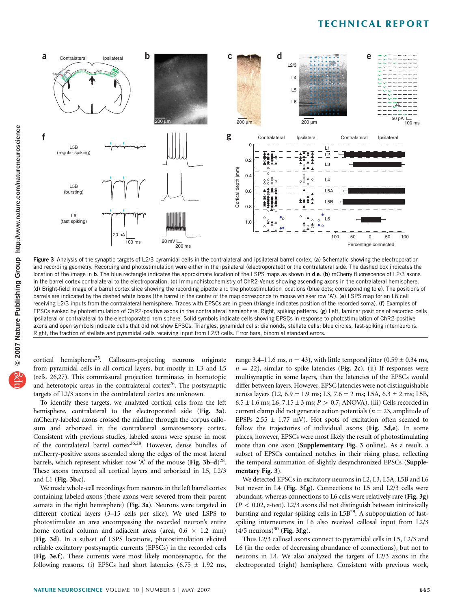

Figure 3 Analysis of the synaptic targets of L2/3 pyramidal cells in the contralateral and ipsilateral barrel cortex. (a) Schematic showing the electroporation and recording geometry. Recording and photostimulation were either in the ipsilateral (electroporated) or the contralateral side. The dashed box indicates the location of the image in b. The blue rectangle indicates the approximate location of the LSPS maps as shown in d,e. (b) mCherry fluorescence of L2/3 axons in the barrel cortex contralateral to the electroporation. (c) Immunohistochemistry of ChR2-Venus showing ascending axons in the contralateral hemisphere. (d) Bright-field image of a barrel cortex slice showing the recording pipette and the photostimulation locations (blue dots; corresponding to e). The positions of barrels are indicated by the dashed white boxes (the barrel in the center of the map corresponds to mouse whisker row 'A'). (e) LSPS map for an L6 cell receiving L2/3 inputs from the contralateral hemisphere. Traces with EPSCs are in green (triangle indicates position of the recorded soma). (f) Examples of EPSCs evoked by photostimulation of ChR2-positive axons in the contralateral hemisphere. Right, spiking patterns. (g) Left, laminar positions of recorded cells ipsilateral or contralateral to the electroporated hemisphere. Solid symbols indicate cells showing EPSCs in response to photostimulation of ChR2-positive axons and open symbols indicate cells that did not show EPSCs. Triangles, pyramidal cells; diamonds, stellate cells; blue circles, fast-spiking interneurons. Right, the fraction of stellate and pyramidal cells receiving input from L2/3 cells. Error bars, binomial standard errors.

cortical hemispheres<sup>25</sup>. Callosum-projecting neurons originate from pyramidal cells in all cortical layers, but mostly in L3 and L5 (refs. 26,27). This commissural projection terminates in homotopic and heterotopic areas in the contralateral cortex $26$ . The postsynaptic targets of L2/3 axons in the contralateral cortex are unknown.

To identify these targets, we analyzed cortical cells from the left hemisphere, contralateral to the electroporated side (Fig. 3a). mCherry-labeled axons crossed the midline through the corpus callosum and arborized in the contralateral somatosensory cortex. Consistent with previous studies, labeled axons were sparse in most of the contralateral barrel cortex<sup>26,28</sup>. However, dense bundles of mCherry-positive axons ascended along the edges of the most lateral barrels, which represent whisker row 'A' of the mouse (Fig. 3b–d)<sup>28</sup>. These axons traversed all cortical layers and arborized in L5, L2/3 and L1 (Fig. 3b,c).

We made whole-cell recordings from neurons in the left barrel cortex containing labeled axons (these axons were severed from their parent somata in the right hemisphere) (Fig. 3a). Neurons were targeted in different cortical layers (3–15 cells per slice). We used LSPS to photostimulate an area encompassing the recorded neuron's entire home cortical column and adjacent areas (area,  $0.6 \times 1.2 \text{ mm}$ ) (Fig. 3d). In a subset of LSPS locations, photostimulation elicited reliable excitatory postsynaptic currents (EPSCs) in the recorded cells (Fig. 3e,f). These currents were most likely monosynaptic, for the following reasons. (i) EPSCs had short latencies  $(6.75 \pm 1.92 \text{ ms},$  range 3.4–11.6 ms,  $n = 43$ ), with little temporal jitter (0.59  $\pm$  0.34 ms,  $n = 22$ ), similar to spike latencies (Fig. 2c). (ii) If responses were multisynaptic in some layers, then the latencies of the EPSCs would differ between layers. However, EPSC latencies were not distinguishable across layers (L2,  $6.9 \pm 1.9$  ms; L3,  $7.6 \pm 2$  ms; L5A,  $6.3 \pm 2$  ms; L5B,  $6.5 \pm 1.6$  ms; L6,  $7.15 \pm 3$  ms;  $P > 0.7$ , ANOVA). (iii) Cells recorded in current clamp did not generate action potentials ( $n = 23$ , amplitude of EPSPs 2.55  $\pm$  1.77 mV). Hot spots of excitation often seemed to follow the trajectories of individual axons (Fig. 3d,e). In some places, however, EPSCs were most likely the result of photostimulating more than one axon (Supplementary Fig. 3 online). As a result, a subset of EPSCs contained notches in their rising phase, reflecting the temporal summation of slightly desynchronized EPSCs (Supplementary Fig. 3). **E**  $\cos \left( \frac{1}{2} \right)$   $\frac{1}{2}$   $\frac{1}{2}$   $\frac{1}{2}$   $\frac{1}{2}$   $\frac{1}{2}$   $\frac{1}{2}$   $\frac{1}{2}$   $\frac{1}{2}$   $\frac{1}{2}$   $\frac{1}{2}$   $\frac{1}{2}$   $\frac{1}{2}$   $\frac{1}{2}$   $\frac{1}{2}$   $\frac{1}{2}$   $\frac{1}{2}$   $\frac{1}{2}$   $\frac{1}{2}$   $\frac{1}{2}$   $\frac{1}{2}$ 

We detected EPSCs in excitatory neurons in L2, L3, L5A, L5B and L6 but never in L4 (Fig. 3f,g). Connections to L5 and L2/3 cells were abundant, whereas connections to L6 cells were relatively rare (Fig. 3g)  $(P < 0.02, z$ -test). L2/3 axons did not distinguish between intrinsically bursting and regular spiking cells in  $L5B<sup>29</sup>$ . A subpopulation of fastspiking interneurons in L6 also received callosal input from L2/3  $(4/5 \text{ neurons})^{30}$  (Fig. 3f,g).

Thus L2/3 callosal axons connect to pyramidal cells in L5, L2/3 and L6 (in the order of decreasing abundance of connections), but not to neurons in L4. We also analyzed the targets of L2/3 axons in the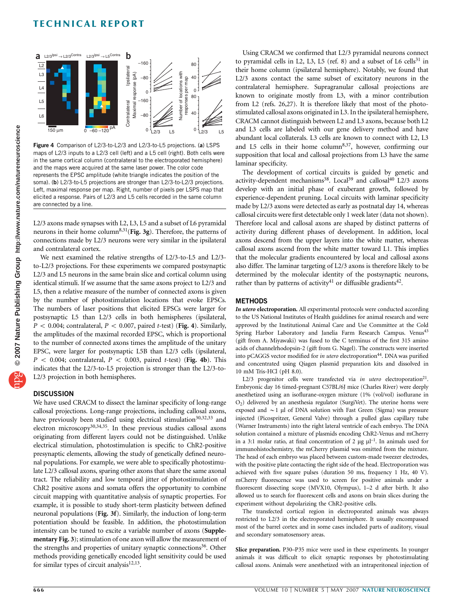

Figure 4 Comparison of L2/3-to-L2/3 and L2/3-to-L5 projections. (a) LSPS maps of L2/3 inputs to a L2/3 cell (left) and a L5 cell (right). Both cells were in the same cortical column (contralateral to the electroporated hemisphere) and the maps were acquired at the same laser power. The color code represents the EPSC amplitude (white triangle indicates the position of the soma). (b) L2/3-to-L5 projections are stronger than L2/3-to-L2/3 projections. Left, maximal response per map. Right, number of pixels per LSPS map that elicited a response. Pairs of L2/3 and L5 cells recorded in the same column are connected by a line.

L2/3 axons made synapses with L2, L3, L5 and a subset of L6 pyramidal neurons in their home column<sup>8,31</sup>(Fig. 3g). Therefore, the patterns of connections made by L2/3 neurons were very similar in the ipsilateral and contralateral cortex.

We next examined the relative strengths of L2/3-to-L5 and L2/3 to-L2/3 projections. For these experiments we compared postsynaptic L2/3 and L5 neurons in the same brain slice and cortical column using identical stimuli. If we assume that the same axons project to L2/3 and L5, then a relative measure of the number of connected axons is given by the number of photostimulation locations that evoke EPSCs. The numbers of laser positions that elicited EPSCs were larger for postsynaptic L5 than L2/3 cells in both hemispheres (ipsilateral,  $P < 0.004$ ; contralateral,  $P < 0.007$ , paired t-test) (Fig. 4). Similarly, the amplitudes of the maximal recorded EPSC, which is proportional to the number of connected axons times the amplitude of the unitary EPSC, were larger for postsynaptic L5B than L2/3 cells (ipsilateral,  $P < 0.004$ ; contralateral,  $P < 0.003$ , paired t-test) (Fig. 4b). This indicates that the L2/3-to-L5 projection is stronger than the L2/3-to-L2/3 projection in both hemispheres.

## **DISCUSSION**

We have used CRACM to dissect the laminar specificity of long-range callosal projections. Long-range projections, including callosal axons, have previously been studied using electrical stimulation<sup>30,32,33</sup> and electron microscopy<sup>30,34,35</sup>. In these previous studies callosal axons originating from different layers could not be distinguished. Unlike electrical stimulation, photostimulation is specific to ChR2-positive presynaptic elements, allowing the study of genetically defined neuronal populations. For example, we were able to specifically photostimulate L2/3 callosal axons, sparing other axons that share the same axonal tract. The reliability and low temporal jitter of photostimulation of ChR2 positive axons and somata offers the opportunity to combine circuit mapping with quantitative analysis of synaptic properties. For example, it is possible to study short-term plasticity between defined neuronal populations (Fig. 3f). Similarly, the induction of long-term potentiation should be feasible. In addition, the photostimulation intensity can be tuned to excite a variable number of axons (Supplementary Fig. 3); stimulation of one axon will allow the measurement of the strengths and properties of unitary synaptic connections<sup>36</sup>. Other methods providing genetically encoded light sensitivity could be used for similar types of circuit analysis $12,13$ .

Using CRACM we confirmed that L2/3 pyramidal neurons connect to pyramidal cells in L2, L3, L5 (ref. 8) and a subset of L6 cells $31$  in their home column (ipsilateral hemisphere). Notably, we found that L2/3 axons contact the same subset of excitatory neurons in the contralateral hemisphere. Supragranular callosal projections are known to originate mostly from L3, with a minor contribution from L2 (refs. 26,27). It is therefore likely that most of the photostimulated callosal axons originated in L3. In the ipsilateral hemisphere, CRACM cannot distinguish between L2 and L3 axons, because both L2 and L3 cells are labeled with our gene delivery method and have abundant local collaterals. L3 cells are known to connect with L2, L3 and L5 cells in their home column<sup>8,37</sup>, however, confirming our supposition that local and callosal projections from L3 have the same laminar specificity.

The development of cortical circuits is guided by genetic and activity-dependent mechanisms<sup>38</sup>. Local<sup>39</sup> and callosal<sup>40</sup> L2/3 axons develop with an initial phase of exuberant growth, followed by experience-dependent pruning. Local circuits with laminar specificity made by L2/3 axons were detected as early as postnatal day 14, whereas callosal circuits were first detectable only 1 week later (data not shown). Therefore local and callosal axons are shaped by distinct patterns of activity during different phases of development. In addition, local axons descend from the upper layers into the white matter, whereas callosal axons ascend from the white matter toward L1. This implies that the molecular gradients encountered by local and callosal axons also differ. The laminar targeting of L2/3 axons is therefore likely to be determined by the molecular identity of the postsynaptic neurons, rather than by patterns of activity<sup>41</sup> or diffusible gradients<sup>42</sup>.

#### **METHODS**

In utero electroporation. All experimental protocols were conducted according to the US National Institutes of Health guidelines for animal research and were approved by the Institutional Animal Care and Use Committee at the Cold Spring Harbor Laboratory and Janelia Farm Research Campus. Venus<sup>43</sup> (gift from A. Miyawaki) was fused to the C terminus of the first 315 amino acids of channelrhodopsin-2 (gift from G. Nagel). The constructs were inserted into pCAGGS vector modified for *in utero* electroporation<sup>44</sup>. DNA was purified and concentrated using Qiagen plasmid preparation kits and dissolved in 10 mM Tris-HCl (pH 8.0).

L2/3 progenitor cells were transfected via in utero electroporation<sup>21</sup>. Embryonic day 16 timed-pregnant C57BL/6J mice (Charles River) were deeply anesthetized using an isoflurane-oxygen mixture (1% (vol/vol) isoflurane in  $O<sub>2</sub>$ ) delivered by an anesthesia regulator (SurgiVet). The uterine horns were exposed and  $\sim$  1 µl of DNA solution with Fast Green (Sigma) was pressure injected (Picospritzer, General Valve) through a pulled glass capillary tube (Warner Instruments) into the right lateral ventricle of each embryo. The DNA solution contained a mixture of plasmids encoding ChR2-Venus and mCherry in a 3:1 molar ratio, at final concentration of 2  $\mu$ g  $\mu$ l<sup>-1</sup>. In animals used for immunohistochemistry, the mCherry plasmid was omitted from the mixture. The head of each embryo was placed between custom-made tweezer electrodes, with the positive plate contacting the right side of the head. Electroporation was achieved with five square pulses (duration 50 ms, frequency 1 Hz, 40 V). mCherry fluorescence was used to screen for positive animals under a fluorescent dissecting scope (MVX10, Olympus), 1–2 d after birth. It also allowed us to search for fluorescent cells and axons on brain slices during the experiment without depolarizing the ChR2-positive cells.

The transfected cortical region in electroporated animals was always restricted to L2/3 in the electroporated hemisphere. It usually encompassed most of the barrel cortex and in some cases included parts of auditory, visual and secondary somatosensory areas.

Slice preparation. P30-P35 mice were used in these experiments. In younger animals it was difficult to elicit synaptic responses by photostimulating callosal axons. Animals were anesthetized with an intraperitoneal injection of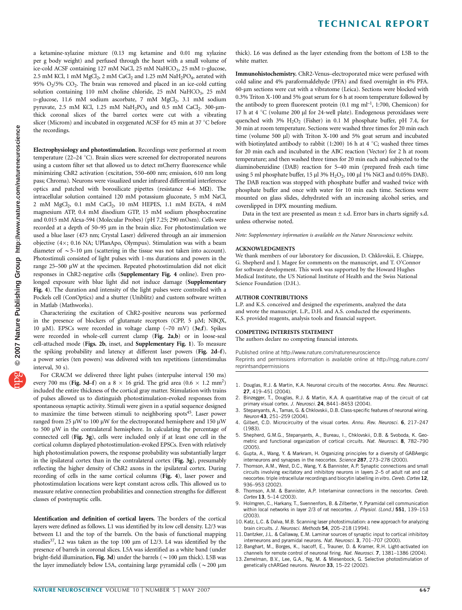a ketamine-xylazine mixture (0.13 mg ketamine and 0.01 mg xylazine per g body weight) and perfused through the heart with a small volume of ice-cold ACSF containing 127 mM NaCl, 25 mM NaHCO<sub>3</sub>, 25 mM D-glucose, 2.5 mM KCl, 1 mM MgCl<sub>2</sub>, 2 mM CaCl<sub>2</sub> and 1.25 mM NaH<sub>2</sub>PO<sub>4</sub>, aerated with 95%  $O_2/5$ %  $CO_2$ . The brain was removed and placed in an ice-cold cutting solution containing 110 mM choline chloride, 25 mM NaHCO<sub>3</sub>, 25 mM D-glucose, 11.6 mM sodium ascorbate, 7 mM MgCl<sub>2</sub>, 3.1 mM sodium pyruvate, 2.5 mM KCl, 1.25 mM  $NaH<sub>2</sub>PO<sub>4</sub>$  and 0.5 mM  $CaCl<sub>2</sub>$ . 300-µmthick coronal slices of the barrel cortex were cut with a vibrating slicer (Microm) and incubated in oxygenated ACSF for 45 min at 37  $\degree$ C before the recordings.

Electrophysiology and photostimulation. Recordings were performed at room temperature (22–24  $^{\circ}$ C). Brain slices were screened for electroporated neurons using a custom filter set that allowed us to detect mCherry fluorescence while minimizing ChR2 activation (excitation, 550–600 nm; emission, 610 nm long pass; Chroma). Neurons were visualized under infrared differential interference optics and patched with borosilicate pipettes (resistance  $4-6$  M $\Omega$ ). The intracellular solution contained 120 mM potassium gluconate, 5 mM NaCl, 2 mM MgCl<sub>2</sub>, 0.1 mM CaCl<sub>2</sub>, 10 mM HEPES, 1.1 mM EGTA, 4 mM magnesium ATP, 0.4 mM disodium GTP, 15 mM sodium phosphocreatine and 0.015 mM Alexa-594 (Molecular Probes) (pH 7.25; 290 mOsm). Cells were recorded at a depth of 50–95 µm in the brain slice. For photostimulation we used a blue laser (473 nm; Crystal Laser) delivered through an air immersion objective  $(4\times; 0.16 \text{ NA}; \text{UPlanApo}, \text{Olympus})$ . Stimulation was with a beam diameter of  $\sim$  5–10 µm (scattering in the tissue was not taken into account). Photostimuli consisted of light pulses with 1-ms durations and powers in the range 25-500 µW at the specimen. Repeated photostimulation did not elicit responses in ChR2-negative cells (Supplementary Fig. 4 online). Even prolonged exposure with blue light did not induce damage (Supplementary Fig. 4). The duration and intensity of the light pulses were controlled with a Pockels cell (ConOptics) and a shutter (Uniblitz) and custom software written in Matlab (Mathworks).

Characterizing the excitation of ChR2-positive neurons was performed in the presence of blockers of glutamate receptors (CPP,  $5 \mu M$ ; NBQX, 10  $\mu$ M). EPSCs were recorded in voltage clamp (-70 mV) (3e,f). Spikes were recorded in whole-cell current clamp (Fig. 2a,b) or in loose-seal cell-attached mode (Figs. 2b, inset, and Supplementary Fig. 1). To measure the spiking probability and latency at different laser powers (Fig. 2d–f), a power series (ten powers) was delivered with ten repetitions (interstimulus interval, 30 s).

For CRACM we delivered three light pulses (interpulse interval 150 ms) every 700 ms (Fig. 3d-f) on a 8  $\times$  16 grid. The grid area (0.6  $\times$  1.2 mm<sup>2</sup>) included the entire thickness of the cortical gray matter. Stimulation with trains of pulses allowed us to distinguish photostimulation-evoked responses from spontaneous synaptic activity. Stimuli were given in a spatial sequence designed to maximize the time between stimuli to neighboring spots<sup>45</sup>. Laser power ranged from 25  $\mu$ W to 100  $\mu$ W for the electroporated hemisphere and 150  $\mu$ W to 500 µW in the contralateral hemisphere. In calculating the percentage of connected cell (Fig. 3g), cells were included only if at least one cell in the cortical column displayed photostimulation-evoked EPSCs. Even with relatively high photostimulation powers, the response probability was substantially larger in the ipsilateral cortex than in the contralateral cortex (Fig. 3g), presumably reflecting the higher density of ChR2 axons in the ipsilateral cortex. During recording of cells in the same cortical columns (Fig. 4), laser power and photostimulation locations were kept constant across cells. This allowed us to measure relative connection probabilities and connection strengths for different classes of postsynaptic cells.

Identification and definition of cortical layers. The borders of the cortical layers were defined as follows. L1 was identified by its low cell density. L2/3 was between L1 and the top of the barrels. On the basis of functional mapping studies<sup>37</sup>, L2 was taken as the top 100  $\mu$ m of L2/3. L4 was identified by the presence of barrels in coronal slices. L5A was identified as a white band (under bright-field illumination, Fig. 3d) under the barrels ( $\sim$  100 µm thick). L5B was the layer immediately below L5A, containing large pyramidal cells ( $\sim$  200 µm

thick). L6 was defined as the layer extending from the bottom of L5B to the white matter.

Immunohistochemistry. ChR2-Venus–electroporated mice were perfused with cold saline and 4% paraformaldehyde (PFA) and fixed overnight in 4% PFA. 60-mm sections were cut with a vibratome (Leica). Sections were blocked with 0.3% Triton X-100 and 5% goat serum for 6 h at room temperature followed by the antibody to green fluorescent protein  $(0.1 \text{ mg ml}^{-1}, 1:700, \text{Chemicon})$  for 17 h at 4 °C (volume 200 µl for 24-well plate). Endogenous peroxidases were quenched with  $3\%$   $H_2O_2$  (Fisher) in 0.1 M phosphate buffer, pH 7.4, for 30 min at room temperature. Sections were washed three times for 20 min each time (volume 500 µl) with Triton X-100 and 5% goat serum and incubated with biotinylated antibody to rabbit (1:200) 16 h at 4  $°C$ ; washed three times for 20 min each and incubated in the ABC reaction (Vector) for 2 h at room temperature; and then washed three times for 20 min each and subjected to the diaminobenzidine (DAB) reaction for 5–40 min (prepared fresh each time using 5 ml phosphate buffer, 15  $\mu$ l 3% H<sub>2</sub>O<sub>2</sub>, 100  $\mu$ l 1% NiCl and 0.05% DAB). The DAB reaction was stopped with phosphate buffer and washed twice with phosphate buffer and once with water for 10 min each time. Sections were mounted on glass slides, dehydrated with an increasing alcohol series, and coverslipped in DPX mounting medium.

Data in the text are presented as mean  $\pm$  s.d. Error bars in charts signify s.d. unless otherwise noted.

Note: Supplementary information is available on the Nature Neuroscience website.

#### ACKNOWLEDGMENTS

We thank members of our laboratory for discussion, D. Chklovskii, E. Chiappe, G. Shepherd and J. Magee for comments on the manuscript, and T. O'Connor for software development. This work was supported by the Howard Hughes Medical Institute, the US National Institute of Health and the Swiss National Science Foundation (D.H.).

#### AUTHOR CONTRIBUTIONS

L.P. and K.S. conceived and designed the experiments, analyzed the data and wrote the manuscript. L.P., D.H. and A.S. conducted the experiments. K.S. provided reagents, analysis tools and financial support.

#### COMPETING INTERESTS STATEMENT

The authors declare no competing financial interests.

Published online at http://www.nature.com/natureneuroscience

Reprints and permissions information is available online at http://npg.nature.com/ reprintsandpermissions

- 1. Douglas, R.J. & Martin, K.A. Neuronal circuits of the neocortex. Annu. Rev. Neurosci. 27, 419–451 (2004).
- 2. Binzegger, T., Douglas, R.J. & Martin, K.A. A quantitative map of the circuit of cat primary visual cortex. J. Neurosci. 24, 8441-8453 (2004).
- 3. Stepanyants, A., Tamas, G. & Chklovskii, D.B. Class-specific features of neuronal wiring. Neuron 43, 251–259 (2004).
- 4. Gilbert, C.D. Microcircuitry of the visual cortex. Annu. Rev. Neurosci. 6, 217-247 (1983).
- 5. Shepherd, G.M.G., Stepanyants, A., Bureau, I., Chklovskii, D.B. & Svoboda, K. Geometric and functional organization of cortical circuits. Nat. Neurosci. 8, 782–790 (2005).
- 6. Gupta, A., Wang, Y. & Markram, H. Organizing principles for a diversity of GABAergic interneurons and synapses in the neocortex. Science 287, 273-278 (2000).
- 7. Thomson, A.M., West, D.C., Wang, Y. & Bannister, A.P. Synaptic connections and small circuits involving excitatory and inhibitory neurons in layers 2–5 of adult rat and cat neocortex: triple intracellular recordings and biocytin labelling in vitro. Cereb. Cortex 12, 936–953 (2002).
- 8. Thomson, A.M. & Bannister, A.P. Interlaminar connections in the neocortex. Cereb. Cortex 13, 5–14 (2003).
- 9. Holmgren, C., Harkany, T., Svennenfors, B. & Zilberter, Y. Pyramidal cell communication within local networks in layer 2/3 of rat neocortex. J. Physiol. (Lond.) 551, 139-153 (2003).
- 10. Katz, L.C. & Dalva, M.B. Scanning laser photostimulation: a new approach for analyzing brain circuits. J. Neurosci. Methods 54, 205-218 (1994).
- 11. Dantzker, J.L. & Callaway, E.M. Laminar sources of synaptic input to cortical inhibitory interneurons and pyramidal neurons. Nat. Neurosci. 3, 701–707 (2000).
- 12. Banghart, M., Borges, K., Isacoff, E., Trauner, D. & Kramer, R.H. Light-activated ion channels for remote control of neuronal firing. Nat. Neurosci. 7, 1381–1386 (2004).
- 13. Zemelman, B.V., Lee, G.A., Ng, M. & Miesenbock, G. Selective photostimulation of genetically chARGed neurons. Neuron 33, 15–22 (2002).